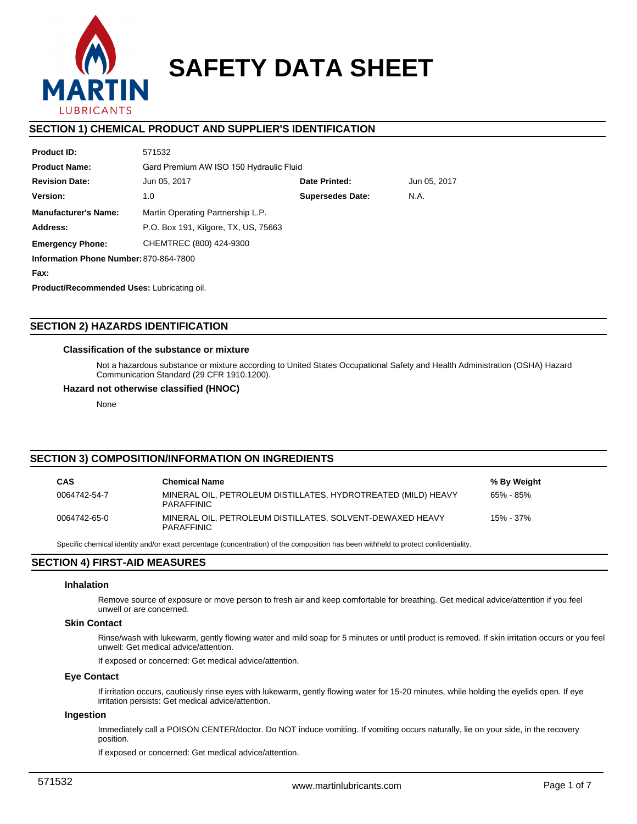

# **SAFETY DATA SHEET**

## **SECTION 1) CHEMICAL PRODUCT AND SUPPLIER'S IDENTIFICATION**

| <b>Product ID:</b>                     | 571532                               |                                         |  |  |  |  |  |
|----------------------------------------|--------------------------------------|-----------------------------------------|--|--|--|--|--|
| <b>Product Name:</b>                   |                                      | Gard Premium AW ISO 150 Hydraulic Fluid |  |  |  |  |  |
| <b>Revision Date:</b>                  | Jun 05, 2017                         | Date Printed:<br>Jun 05, 2017           |  |  |  |  |  |
| Version:                               | 1.0                                  | <b>Supersedes Date:</b><br>N.A.         |  |  |  |  |  |
| <b>Manufacturer's Name:</b>            | Martin Operating Partnership L.P.    |                                         |  |  |  |  |  |
| Address:                               | P.O. Box 191, Kilgore, TX, US, 75663 |                                         |  |  |  |  |  |
| <b>Emergency Phone:</b>                | CHEMTREC (800) 424-9300              |                                         |  |  |  |  |  |
| Information Phone Number: 870-864-7800 |                                      |                                         |  |  |  |  |  |
| Fax:                                   |                                      |                                         |  |  |  |  |  |
|                                        |                                      |                                         |  |  |  |  |  |

**Product/Recommended Uses:** Lubricating oil.

## **SECTION 2) HAZARDS IDENTIFICATION**

## **Classification of the substance or mixture**

Not a hazardous substance or mixture according to United States Occupational Safety and Health Administration (OSHA) Hazard Communication Standard (29 CFR 1910.1200).

#### **Hazard not otherwise classified (HNOC)**

None

## **SECTION 3) COMPOSITION/INFORMATION ON INGREDIENTS**

| <b>CAS</b>   | <b>Chemical Name</b>                                                               | % By Weight |
|--------------|------------------------------------------------------------------------------------|-------------|
| 0064742-54-7 | MINERAL OIL, PETROLEUM DISTILLATES, HYDROTREATED (MILD) HEAVY<br><b>PARAFFINIC</b> | 65% - 85%   |
| 0064742-65-0 | MINERAL OIL. PETROLEUM DISTILLATES. SOLVENT-DEWAXED HEAVY<br><b>PARAFFINIC</b>     | 15% - 37%   |

Specific chemical identity and/or exact percentage (concentration) of the composition has been withheld to protect confidentiality.

## **SECTION 4) FIRST-AID MEASURES**

#### **Inhalation**

Remove source of exposure or move person to fresh air and keep comfortable for breathing. Get medical advice/attention if you feel unwell or are concerned.

## **Skin Contact**

Rinse/wash with lukewarm, gently flowing water and mild soap for 5 minutes or until product is removed. If skin irritation occurs or you feel unwell: Get medical advice/attention.

If exposed or concerned: Get medical advice/attention.

## **Eye Contact**

If irritation occurs, cautiously rinse eyes with lukewarm, gently flowing water for 15-20 minutes, while holding the eyelids open. If eye irritation persists: Get medical advice/attention.

#### **Ingestion**

Immediately call a POISON CENTER/doctor. Do NOT induce vomiting. If vomiting occurs naturally, lie on your side, in the recovery position.

If exposed or concerned: Get medical advice/attention.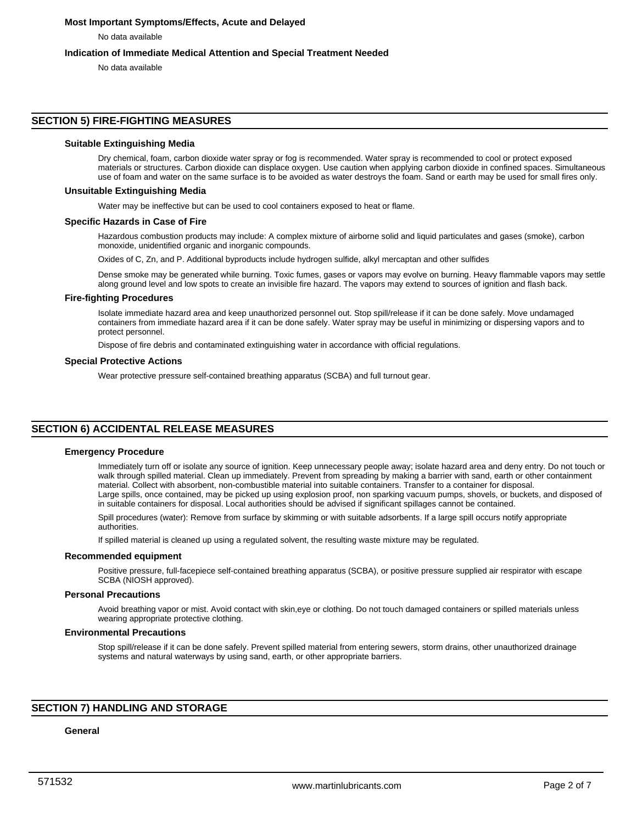## **Most Important Symptoms/Effects, Acute and Delayed**

No data available

## **Indication of Immediate Medical Attention and Special Treatment Needed**

No data available

## **SECTION 5) FIRE-FIGHTING MEASURES**

#### **Suitable Extinguishing Media**

Dry chemical, foam, carbon dioxide water spray or fog is recommended. Water spray is recommended to cool or protect exposed materials or structures. Carbon dioxide can displace oxygen. Use caution when applying carbon dioxide in confined spaces. Simultaneous use of foam and water on the same surface is to be avoided as water destroys the foam. Sand or earth may be used for small fires only.

#### **Unsuitable Extinguishing Media**

Water may be ineffective but can be used to cool containers exposed to heat or flame.

#### **Specific Hazards in Case of Fire**

Hazardous combustion products may include: A complex mixture of airborne solid and liquid particulates and gases (smoke), carbon monoxide, unidentified organic and inorganic compounds.

Oxides of C, Zn, and P. Additional byproducts include hydrogen sulfide, alkyl mercaptan and other sulfides

Dense smoke may be generated while burning. Toxic fumes, gases or vapors may evolve on burning. Heavy flammable vapors may settle along ground level and low spots to create an invisible fire hazard. The vapors may extend to sources of ignition and flash back.

#### **Fire-fighting Procedures**

Isolate immediate hazard area and keep unauthorized personnel out. Stop spill/release if it can be done safely. Move undamaged containers from immediate hazard area if it can be done safely. Water spray may be useful in minimizing or dispersing vapors and to protect personnel.

Dispose of fire debris and contaminated extinguishing water in accordance with official regulations.

#### **Special Protective Actions**

Wear protective pressure self-contained breathing apparatus (SCBA) and full turnout gear.

## **SECTION 6) ACCIDENTAL RELEASE MEASURES**

#### **Emergency Procedure**

Immediately turn off or isolate any source of ignition. Keep unnecessary people away; isolate hazard area and deny entry. Do not touch or walk through spilled material. Clean up immediately. Prevent from spreading by making a barrier with sand, earth or other containment material. Collect with absorbent, non-combustible material into suitable containers. Transfer to a container for disposal. Large spills, once contained, may be picked up using explosion proof, non sparking vacuum pumps, shovels, or buckets, and disposed of in suitable containers for disposal. Local authorities should be advised if significant spillages cannot be contained.

Spill procedures (water): Remove from surface by skimming or with suitable adsorbents. If a large spill occurs notify appropriate authorities.

If spilled material is cleaned up using a regulated solvent, the resulting waste mixture may be regulated.

#### **Recommended equipment**

Positive pressure, full-facepiece self-contained breathing apparatus (SCBA), or positive pressure supplied air respirator with escape SCBA (NIOSH approved).

## **Personal Precautions**

Avoid breathing vapor or mist. Avoid contact with skin,eye or clothing. Do not touch damaged containers or spilled materials unless wearing appropriate protective clothing.

#### **Environmental Precautions**

Stop spill/release if it can be done safely. Prevent spilled material from entering sewers, storm drains, other unauthorized drainage systems and natural waterways by using sand, earth, or other appropriate barriers.

## **SECTION 7) HANDLING AND STORAGE**

## **General**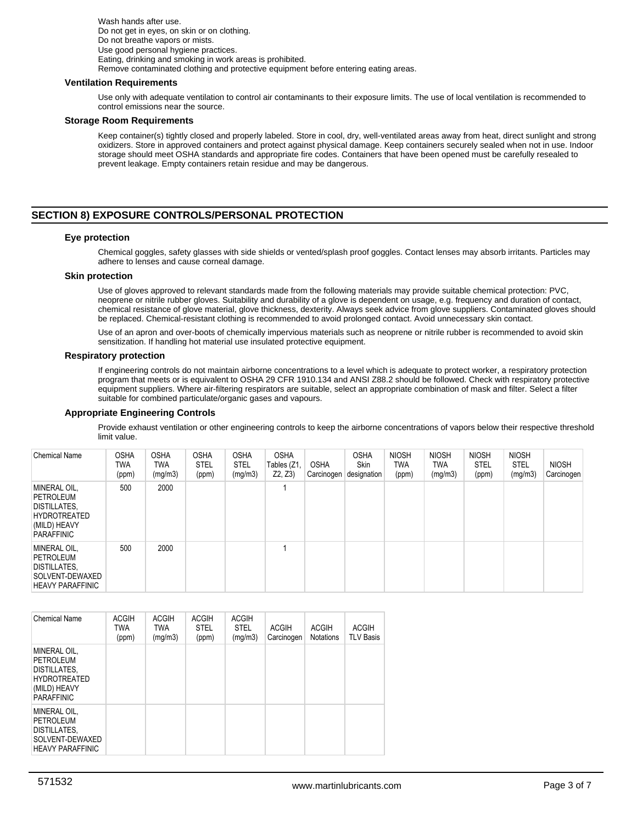Wash hands after use. Do not get in eyes, on skin or on clothing. Do not breathe vapors or mists. Use good personal hygiene practices. Eating, drinking and smoking in work areas is prohibited. Remove contaminated clothing and protective equipment before entering eating areas.

#### **Ventilation Requirements**

Use only with adequate ventilation to control air contaminants to their exposure limits. The use of local ventilation is recommended to control emissions near the source.

#### **Storage Room Requirements**

Keep container(s) tightly closed and properly labeled. Store in cool, dry, well-ventilated areas away from heat, direct sunlight and strong oxidizers. Store in approved containers and protect against physical damage. Keep containers securely sealed when not in use. Indoor storage should meet OSHA standards and appropriate fire codes. Containers that have been opened must be carefully resealed to prevent leakage. Empty containers retain residue and may be dangerous.

## **SECTION 8) EXPOSURE CONTROLS/PERSONAL PROTECTION**

#### **Eye protection**

Chemical goggles, safety glasses with side shields or vented/splash proof goggles. Contact lenses may absorb irritants. Particles may adhere to lenses and cause corneal damage.

#### **Skin protection**

Use of gloves approved to relevant standards made from the following materials may provide suitable chemical protection: PVC, neoprene or nitrile rubber gloves. Suitability and durability of a glove is dependent on usage, e.g. frequency and duration of contact, chemical resistance of glove material, glove thickness, dexterity. Always seek advice from glove suppliers. Contaminated gloves should be replaced. Chemical-resistant clothing is recommended to avoid prolonged contact. Avoid unnecessary skin contact.

Use of an apron and over-boots of chemically impervious materials such as neoprene or nitrile rubber is recommended to avoid skin sensitization. If handling hot material use insulated protective equipment.

#### **Respiratory protection**

If engineering controls do not maintain airborne concentrations to a level which is adequate to protect worker, a respiratory protection program that meets or is equivalent to OSHA 29 CFR 1910.134 and ANSI Z88.2 should be followed. Check with respiratory protective equipment suppliers. Where air-filtering respirators are suitable, select an appropriate combination of mask and filter. Select a filter suitable for combined particulate/organic gases and vapours.

#### **Appropriate Engineering Controls**

Provide exhaust ventilation or other engineering controls to keep the airborne concentrations of vapors below their respective threshold limit value.

| <b>Chemical Name</b>                                                                                         | <b>OSHA</b><br>TWA<br>(ppm) | <b>OSHA</b><br>TWA<br>(mg/m3) | <b>OSHA</b><br><b>STEL</b><br>(ppm) | <b>OSHA</b><br><b>STEL</b><br>(mg/m3) | <b>OSHA</b><br>Tables (Z1,<br>Z2, Z3 | <b>OSHA</b><br>⊦Carcinogen | <b>OSHA</b><br><b>Skin</b><br>designation | <b>NIOSH</b><br><b>TWA</b><br>(ppm) | <b>NIOSH</b><br><b>TWA</b><br>(mg/m3) | <b>NIOSH</b><br><b>STEL</b><br>(ppm) | <b>NIOSH</b><br><b>STEL</b><br>(mg/m3) | <b>NIOSH</b><br>Carcinogen |
|--------------------------------------------------------------------------------------------------------------|-----------------------------|-------------------------------|-------------------------------------|---------------------------------------|--------------------------------------|----------------------------|-------------------------------------------|-------------------------------------|---------------------------------------|--------------------------------------|----------------------------------------|----------------------------|
| MINERAL OIL,<br>PETROLEUM<br><b>DISTILLATES,</b><br><b>HYDROTREATED</b><br>(MILD) HEAVY<br><b>PARAFFINIC</b> | 500                         | 2000                          |                                     |                                       |                                      |                            |                                           |                                     |                                       |                                      |                                        |                            |
| MINERAL OIL,<br>PETROLEUM<br>DISTILLATES,<br>SOLVENT-DEWAXED<br><b>HEAVY PARAFFINIC</b>                      | 500                         | 2000                          |                                     |                                       |                                      |                            |                                           |                                     |                                       |                                      |                                        |                            |

| <b>Chemical Name</b>                                                                                         | <b>ACGIH</b><br><b>TWA</b><br>(ppm) | <b>ACGIH</b><br><b>TWA</b><br>(mg/m3) | <b>ACGIH</b><br><b>STEL</b><br>(ppm) | <b>ACGIH</b><br><b>STEL</b><br>(mg/m3) | <b>ACGIH</b><br>Carcinogen | <b>ACGIH</b><br><b>Notations</b> | <b>ACGIH</b><br><b>TLV Basis</b> |
|--------------------------------------------------------------------------------------------------------------|-------------------------------------|---------------------------------------|--------------------------------------|----------------------------------------|----------------------------|----------------------------------|----------------------------------|
| MINERAL OIL,<br>PETROLEUM<br><b>DISTILLATES.</b><br><b>HYDROTREATED</b><br>(MILD) HEAVY<br><b>PARAFFINIC</b> |                                     |                                       |                                      |                                        |                            |                                  |                                  |
| MINERAL OIL.<br>PETROLEUM<br>DISTILLATES,<br>SOLVENT-DEWAXED<br><b>HEAVY PARAFFINIC</b>                      |                                     |                                       |                                      |                                        |                            |                                  |                                  |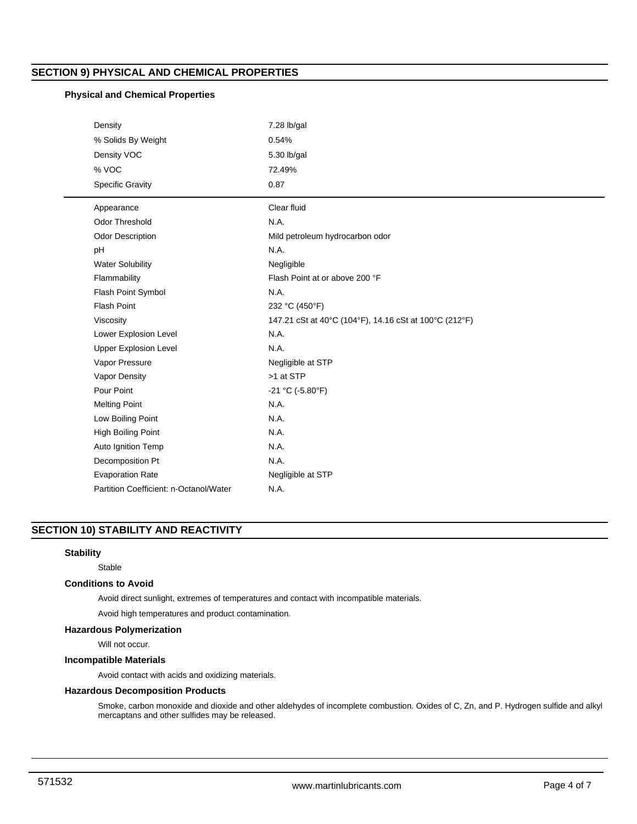## **SECTION 9) PHYSICAL AND CHEMICAL PROPERTIES**

## **Physical and Chemical Properties**

| Density                                | $7.28$ lb/gal                                          |
|----------------------------------------|--------------------------------------------------------|
| % Solids By Weight                     | 0.54%                                                  |
| Density VOC                            | 5.30 lb/gal                                            |
| % VOC                                  | 72.49%                                                 |
| <b>Specific Gravity</b>                | 0.87                                                   |
| Appearance                             | Clear fluid                                            |
| <b>Odor Threshold</b>                  | N.A.                                                   |
| <b>Odor Description</b>                | Mild petroleum hydrocarbon odor                        |
| pH                                     | N.A.                                                   |
| <b>Water Solubility</b>                | Negligible                                             |
| Flammability                           | Flash Point at or above 200 °F                         |
| Flash Point Symbol                     | N.A.                                                   |
| Flash Point                            | 232 °C (450°F)                                         |
| Viscosity                              | 147.21 cSt at 40°C (104°F), 14.16 cSt at 100°C (212°F) |
| Lower Explosion Level                  | N.A.                                                   |
| <b>Upper Explosion Level</b>           | N.A.                                                   |
| Vapor Pressure                         | Negligible at STP                                      |
| Vapor Density                          | >1 at STP                                              |
| Pour Point                             | $-21 °C (-5.80 °F)$                                    |
| <b>Melting Point</b>                   | N.A.                                                   |
| Low Boiling Point                      | N.A.                                                   |
| High Boiling Point                     | N.A.                                                   |
| Auto Ignition Temp                     | N.A.                                                   |
| Decomposition Pt                       | N.A.                                                   |
| <b>Evaporation Rate</b>                | Negligible at STP                                      |
| Partition Coefficient: n-Octanol/Water | N.A.                                                   |

## **SECTION 10) STABILITY AND REACTIVITY**

## **Stability**

Stable

## **Conditions to Avoid**

Avoid direct sunlight, extremes of temperatures and contact with incompatible materials.

Avoid high temperatures and product contamination.

## **Hazardous Polymerization**

Will not occur.

## **Incompatible Materials**

Avoid contact with acids and oxidizing materials.

## **Hazardous Decomposition Products**

Smoke, carbon monoxide and dioxide and other aldehydes of incomplete combustion. Oxides of C, Zn, and P. Hydrogen sulfide and alkyl mercaptans and other sulfides may be released.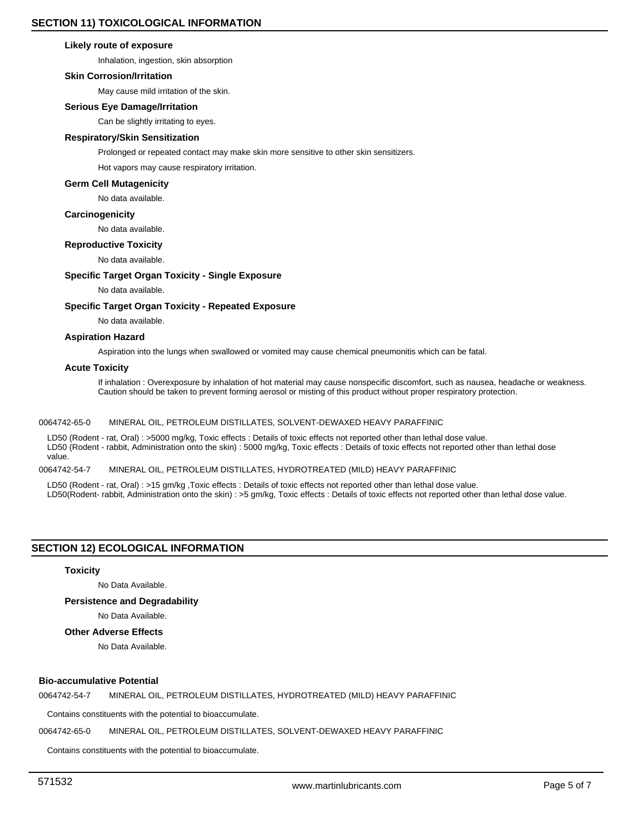#### **Likely route of exposure**

Inhalation, ingestion, skin absorption

#### **Skin Corrosion/Irritation**

May cause mild irritation of the skin.

## **Serious Eye Damage/Irritation**

Can be slightly irritating to eyes.

## **Respiratory/Skin Sensitization**

Prolonged or repeated contact may make skin more sensitive to other skin sensitizers.

Hot vapors may cause respiratory irritation.

#### **Germ Cell Mutagenicity**

No data available.

#### **Carcinogenicity**

No data available.

#### **Reproductive Toxicity**

No data available.

## **Specific Target Organ Toxicity - Single Exposure**

No data available.

#### **Specific Target Organ Toxicity - Repeated Exposure**

No data available.

#### **Aspiration Hazard**

Aspiration into the lungs when swallowed or vomited may cause chemical pneumonitis which can be fatal.

#### **Acute Toxicity**

If inhalation : Overexposure by inhalation of hot material may cause nonspecific discomfort, such as nausea, headache or weakness. Caution should be taken to prevent forming aerosol or misting of this product without proper respiratory protection.

#### 0064742-65-0 MINERAL OIL, PETROLEUM DISTILLATES, SOLVENT-DEWAXED HEAVY PARAFFINIC

LD50 (Rodent - rat, Oral) : >5000 mg/kg, Toxic effects : Details of toxic effects not reported other than lethal dose value. LD50 (Rodent - rabbit, Administration onto the skin) : 5000 mg/kg, Toxic effects : Details of toxic effects not reported other than lethal dose value.

## 0064742-54-7 MINERAL OIL, PETROLEUM DISTILLATES, HYDROTREATED (MILD) HEAVY PARAFFINIC

LD50 (Rodent - rat, Oral) : >15 gm/kg ,Toxic effects : Details of toxic effects not reported other than lethal dose value. LD50(Rodent- rabbit, Administration onto the skin) : >5 gm/kg, Toxic effects : Details of toxic effects not reported other than lethal dose value.

## **SECTION 12) ECOLOGICAL INFORMATION**

#### **Toxicity**

No Data Available.

#### **Persistence and Degradability**

No Data Available.

## **Other Adverse Effects**

No Data Available.

## **Bio-accumulative Potential**

0064742-54-7 MINERAL OIL, PETROLEUM DISTILLATES, HYDROTREATED (MILD) HEAVY PARAFFINIC

Contains constituents with the potential to bioaccumulate.

0064742-65-0 MINERAL OIL, PETROLEUM DISTILLATES, SOLVENT-DEWAXED HEAVY PARAFFINIC

Contains constituents with the potential to bioaccumulate.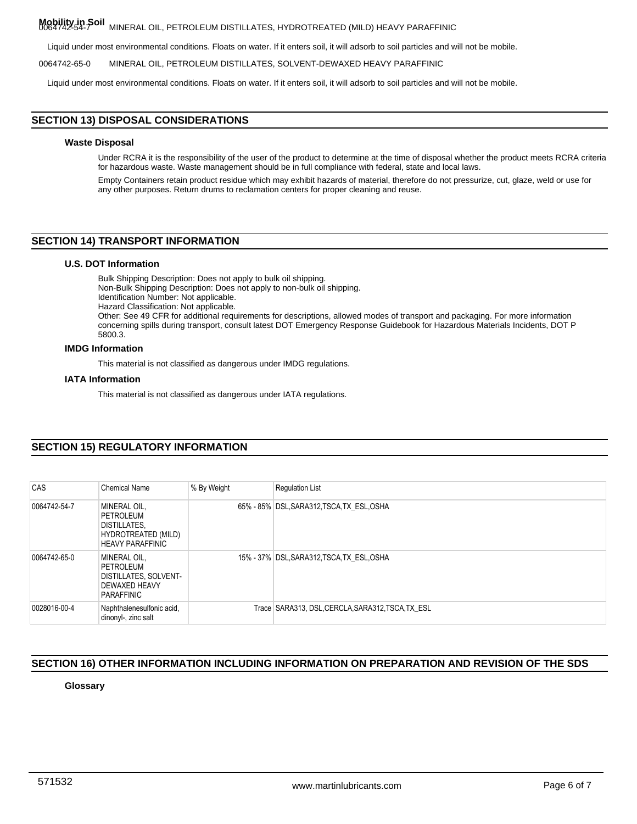## **Mobility in Soil** 0064742-54-7 MINERAL OIL, PETROLEUM DISTILLATES, HYDROTREATED (MILD) HEAVY PARAFFINIC

Liquid under most environmental conditions. Floats on water. If it enters soil, it will adsorb to soil particles and will not be mobile.

0064742-65-0 MINERAL OIL, PETROLEUM DISTILLATES, SOLVENT-DEWAXED HEAVY PARAFFINIC

Liquid under most environmental conditions. Floats on water. If it enters soil, it will adsorb to soil particles and will not be mobile.

## **SECTION 13) DISPOSAL CONSIDERATIONS**

### **Waste Disposal**

Under RCRA it is the responsibility of the user of the product to determine at the time of disposal whether the product meets RCRA criteria for hazardous waste. Waste management should be in full compliance with federal, state and local laws.

Empty Containers retain product residue which may exhibit hazards of material, therefore do not pressurize, cut, glaze, weld or use for any other purposes. Return drums to reclamation centers for proper cleaning and reuse.

## **SECTION 14) TRANSPORT INFORMATION**

## **U.S. DOT Information**

Bulk Shipping Description: Does not apply to bulk oil shipping. Non-Bulk Shipping Description: Does not apply to non-bulk oil shipping. Identification Number: Not applicable. Hazard Classification: Not applicable. Other: See 49 CFR for additional requirements for descriptions, allowed modes of transport and packaging. For more information concerning spills during transport, consult latest DOT Emergency Response Guidebook for Hazardous Materials Incidents, DOT P 5800.3.

## **IMDG Information**

This material is not classified as dangerous under IMDG regulations.

#### **IATA Information**

This material is not classified as dangerous under IATA regulations.

## **SECTION 15) REGULATORY INFORMATION**

| CAS          | <b>Chemical Name</b>                                                                               | % By Weight | <b>Regulation List</b>                            |
|--------------|----------------------------------------------------------------------------------------------------|-------------|---------------------------------------------------|
| 0064742-54-7 | MINERAL OIL,<br>PETROLEUM<br><b>DISTILLATES.</b><br>HYDROTREATED (MILD)<br><b>HEAVY PARAFFINIC</b> |             | 65% - 85% DSL, SARA312, TSCA, TX ESL, OSHA        |
| 0064742-65-0 | MINERAL OIL,<br>PETROLEUM<br>DISTILLATES, SOLVENT-<br>DEWAXED HEAVY<br>PARAFFINIC                  |             | 15% - 37% DSL, SARA312, TSCA, TX ESL, OSHA        |
| 0028016-00-4 | Naphthalenesulfonic acid,<br>dinonyl-, zinc salt                                                   |             | Trace SARA313, DSL, CERCLA, SARA312, TSCA, TX ESL |

## **SECTION 16) OTHER INFORMATION INCLUDING INFORMATION ON PREPARATION AND REVISION OF THE SDS**

## **Glossary**